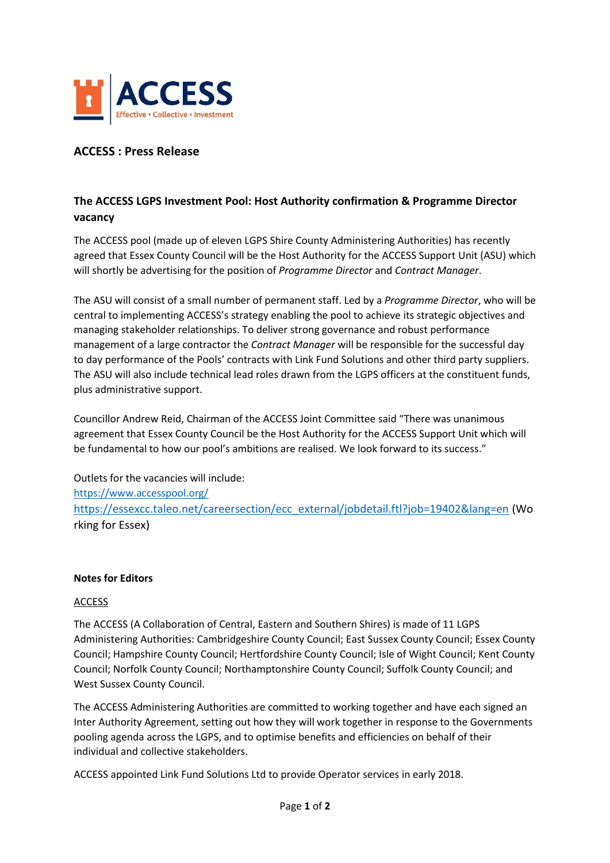

## **ACCESS : Press Release**

## **The ACCESS LGPS Investment Pool: Host Authority confirmation & Programme Director vacancy**

The ACCESS pool (made up of eleven LGPS Shire County Administering Authorities) has recently agreed that Essex County Council will be the Host Authority for the ACCESS Support Unit (ASU) which will shortly be advertising for the position of *Programme Director* and *Contract Manager*.

The ASU will consist of a small number of permanent staff. Led by a *Programme Director*, who will be central to implementing ACCESS's strategy enabling the pool to achieve its strategic objectives and managing stakeholder relationships. To deliver strong governance and robust performance management of a large contractor the *Contract Manager* will be responsible for the successful day to day performance of the Pools' contracts with Link Fund Solutions and other third party suppliers. The ASU will also include technical lead roles drawn from the LGPS officers at the constituent funds, plus administrative support.

Councillor Andrew Reid, Chairman of the ACCESS Joint Committee said "There was unanimous agreement that Essex County Council be the Host Authority for the ACCESS Support Unit which will be fundamental to how our pool's ambitions are realised. We look forward to its success."

Outlets for the vacancies will include: <https://www.accesspool.org/> [https://essexcc.taleo.net/careersection/ecc\\_external/jobdetail.ftl?job=19402&lang=en](https://essexcc.taleo.net/careersection/ecc_external/jobdetail.ftl?job=19402&lang=en) (Wo rking for Essex)

## **Notes for Editors**

## ACCESS

The ACCESS (A Collaboration of Central, Eastern and Southern Shires) is made of 11 LGPS Administering Authorities: Cambridgeshire County Council; East Sussex County Council; Essex County Council; Hampshire County Council; Hertfordshire County Council; Isle of Wight Council; Kent County Council; Norfolk County Council; Northamptonshire County Council; Suffolk County Council; and West Sussex County Council.

The ACCESS Administering Authorities are committed to working together and have each signed an Inter Authority Agreement, setting out how they will work together in response to the Governments pooling agenda across the LGPS, and to optimise benefits and efficiencies on behalf of their individual and collective stakeholders.

ACCESS appointed Link Fund Solutions Ltd to provide Operator services in early 2018.